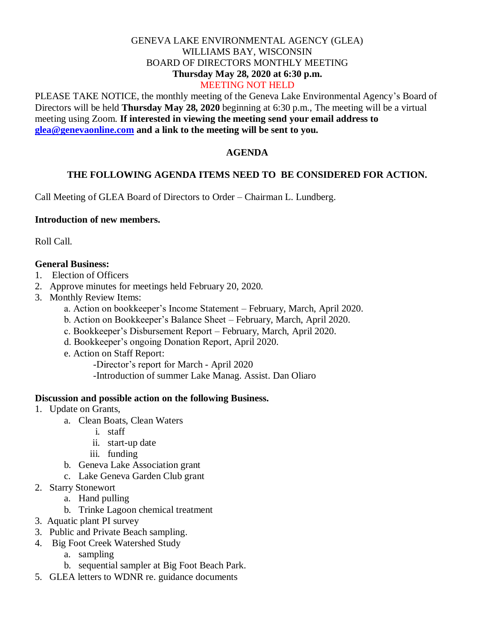# GENEVA LAKE ENVIRONMENTAL AGENCY (GLEA) WILLIAMS BAY, WISCONSIN BOARD OF DIRECTORS MONTHLY MEETING **Thursday May 28, 2020 at 6:30 p.m.**

## MEETING NOT HELD

PLEASE TAKE NOTICE, the monthly meeting of the Geneva Lake Environmental Agency's Board of Directors will be held **Thursday May 28, 2020** beginning at 6:30 p.m., The meeting will be a virtual meeting using Zoom. **If interested in viewing the meeting send your email address to [glea@genevaonline.com](mailto:glea@genevaonline.com) and a link to the meeting will be sent to you.** 

#### **AGENDA**

#### **THE FOLLOWING AGENDA ITEMS NEED TO BE CONSIDERED FOR ACTION.**

Call Meeting of GLEA Board of Directors to Order – Chairman L. Lundberg.

#### **Introduction of new members.**

Roll Call.

### **General Business:**

- 1.Election of Officers
- 2. Approve minutes for meetings held February 20, 2020.
- 3. Monthly Review Items:
	- a. Action on bookkeeper's Income Statement February, March, April 2020.
	- b. Action on Bookkeeper's Balance Sheet February, March, April 2020.
	- c. Bookkeeper's Disbursement Report February, March, April 2020.
	- d. Bookkeeper's ongoing Donation Report, April 2020.
	- e. Action on Staff Report:

-Director's report for March - April 2020

-Introduction of summer Lake Manag. Assist. Dan Oliaro

#### **Discussion and possible action on the following Business.**

- 1. Update on Grants,
	- a. Clean Boats, Clean Waters
		- i. staff
		- ii. start-up date
		- iii. funding
	- b. Geneva Lake Association grant
	- c. Lake Geneva Garden Club grant
- 2. Starry Stonewort
	- a. Hand pulling
	- b. Trinke Lagoon chemical treatment
- 3. Aquatic plant PI survey
- 3. Public and Private Beach sampling.
- 4. Big Foot Creek Watershed Study
	- a. sampling
	- b. sequential sampler at Big Foot Beach Park.
- 5. GLEA letters to WDNR re. guidance documents